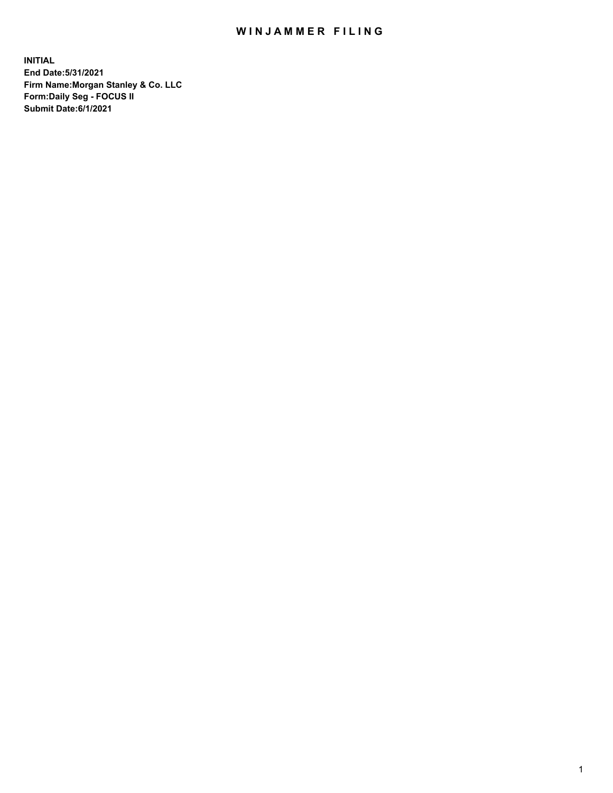## WIN JAMMER FILING

**INITIAL End Date:5/31/2021 Firm Name:Morgan Stanley & Co. LLC Form:Daily Seg - FOCUS II Submit Date:6/1/2021**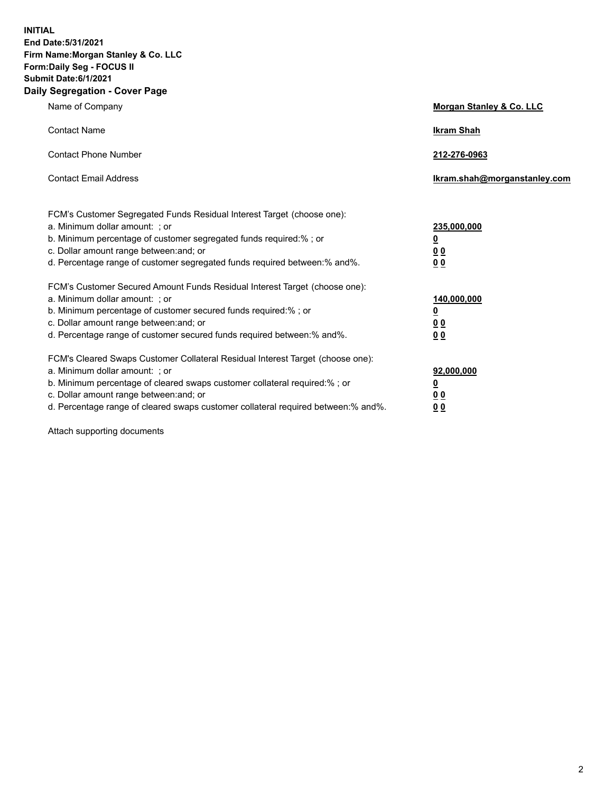**INITIAL End Date:5/31/2021 Firm Name:Morgan Stanley & Co. LLC Form:Daily Seg - FOCUS II Submit Date:6/1/2021 Daily Segregation - Cover Page**

| Name of Company                                                                                                                                                                                                                                                                                                                | Morgan Stanley & Co. LLC                                    |
|--------------------------------------------------------------------------------------------------------------------------------------------------------------------------------------------------------------------------------------------------------------------------------------------------------------------------------|-------------------------------------------------------------|
| <b>Contact Name</b>                                                                                                                                                                                                                                                                                                            | <b>Ikram Shah</b>                                           |
| <b>Contact Phone Number</b>                                                                                                                                                                                                                                                                                                    | 212-276-0963                                                |
| <b>Contact Email Address</b>                                                                                                                                                                                                                                                                                                   | Ikram.shah@morganstanley.com                                |
| FCM's Customer Segregated Funds Residual Interest Target (choose one):<br>a. Minimum dollar amount: ; or<br>b. Minimum percentage of customer segregated funds required:% ; or<br>c. Dollar amount range between: and; or<br>d. Percentage range of customer segregated funds required between:% and%.                         | 235,000,000<br><u>0</u><br>0 <sup>0</sup><br>00             |
| FCM's Customer Secured Amount Funds Residual Interest Target (choose one):<br>a. Minimum dollar amount: ; or<br>b. Minimum percentage of customer secured funds required:% ; or<br>c. Dollar amount range between: and; or<br>d. Percentage range of customer secured funds required between:% and%.                           | 140,000,000<br><u>0</u><br>0 <sub>0</sub><br>0 <sub>0</sub> |
| FCM's Cleared Swaps Customer Collateral Residual Interest Target (choose one):<br>a. Minimum dollar amount: ; or<br>b. Minimum percentage of cleared swaps customer collateral required:% ; or<br>c. Dollar amount range between: and; or<br>d. Percentage range of cleared swaps customer collateral required between:% and%. | 92,000,000<br><u>0</u><br>0 Q<br>0 <sub>0</sub>             |

Attach supporting documents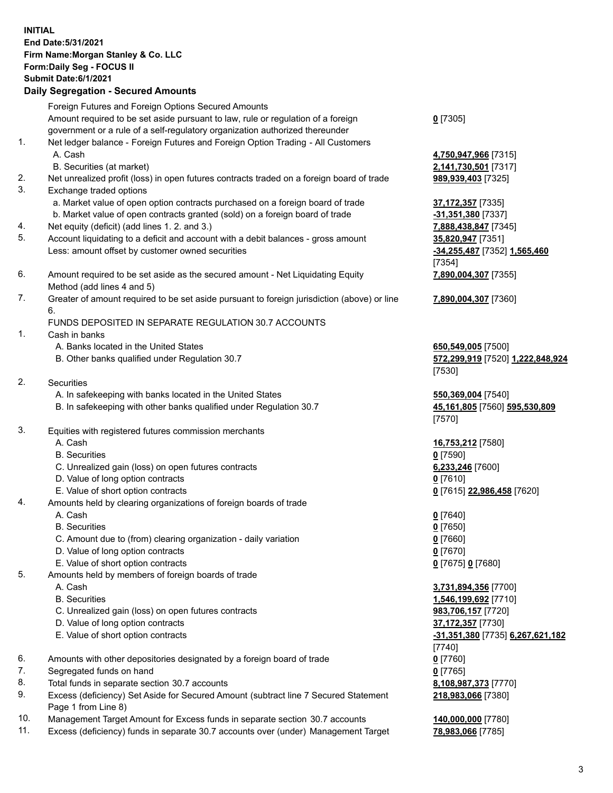## **INITIAL End Date:5/31/2021 Firm Name:Morgan Stanley & Co. LLC Form:Daily Seg - FOCUS II Submit Date:6/1/2021 Daily Segregation - Secured Amounts** Foreign Futures and Foreign Options Secured Amounts Amount required to be set aside pursuant to law, rule or regulation of a foreign government or a rule of a self-regulatory organization authorized thereunder 1. Net ledger balance - Foreign Futures and Foreign Option Trading - All Customers A. Cash **4,750,947,966** [7315] B. Securities (at market) **2,141,730,501** [7317] 2. Net unrealized profit (loss) in open futures contracts traded on a foreign board of trade **989,939,403** [7325] 3. Exchange traded options a. Market value of open option contracts purchased on a foreign board of trade **37,172,357** [7335]

- 4. Net equity (deficit) (add lines 1. 2. and 3.) **7,888,438,847** [7345]
- 5. Account liquidating to a deficit and account with a debit balances gross amount **35,820,947** [7351] Less: amount offset by customer owned securities **-34,255,487** [7352] **1,565,460**
- 6. Amount required to be set aside as the secured amount Net Liquidating Equity Method (add lines 4 and 5)
- 7. Greater of amount required to be set aside pursuant to foreign jurisdiction (above) or line 6.

## FUNDS DEPOSITED IN SEPARATE REGULATION 30.7 ACCOUNTS

- 1. Cash in banks
	- A. Banks located in the United States **650,549,005** [7500]
	- B. Other banks qualified under Regulation 30.7 **572,299,919** [7520] **1,222,848,924**
- 2. Securities
	- A. In safekeeping with banks located in the United States **550,369,004** [7540]
	- B. In safekeeping with other banks qualified under Regulation 30.7 **45,161,805** [7560] **595,530,809**
- 3. Equities with registered futures commission merchants
	-
	- B. Securities **0** [7590]
	- C. Unrealized gain (loss) on open futures contracts **6,233,246** [7600]
	- D. Value of long option contracts **0** [7610]
	- E. Value of short option contracts **0** [7615] **22,986,458** [7620]
- 4. Amounts held by clearing organizations of foreign boards of trade
	- A. Cash **0** [7640]
	- B. Securities **0** [7650]
	- C. Amount due to (from) clearing organization daily variation **0** [7660]
	- D. Value of long option contracts **0** [7670]
	- E. Value of short option contracts **0** [7675] **0** [7680]
- 5. Amounts held by members of foreign boards of trade
	-
	-
	- C. Unrealized gain (loss) on open futures contracts **983,706,157** [7720]
	- D. Value of long option contracts **37,172,357** [7730]
	-
- 6. Amounts with other depositories designated by a foreign board of trade **0** [7760]
- 7. Segregated funds on hand **0** [7765]
- 8. Total funds in separate section 30.7 accounts **8,108,987,373** [7770]
- 9. Excess (deficiency) Set Aside for Secured Amount (subtract line 7 Secured Statement Page 1 from Line 8)
- 10. Management Target Amount for Excess funds in separate section 30.7 accounts **140,000,000** [7780]
- 11. Excess (deficiency) funds in separate 30.7 accounts over (under) Management Target **78,983,066** [7785]

**0** [7305]

 b. Market value of open contracts granted (sold) on a foreign board of trade **-31,351,380** [7337] [7354] **7,890,004,307** [7355]

**7,890,004,307** [7360]

[7530]

[7570]

A. Cash **16,753,212** [7580]

 A. Cash **3,731,894,356** [7700] B. Securities **1,546,199,692** [7710] E. Value of short option contracts **-31,351,380** [7735] **6,267,621,182** [7740] **218,983,066** [7380]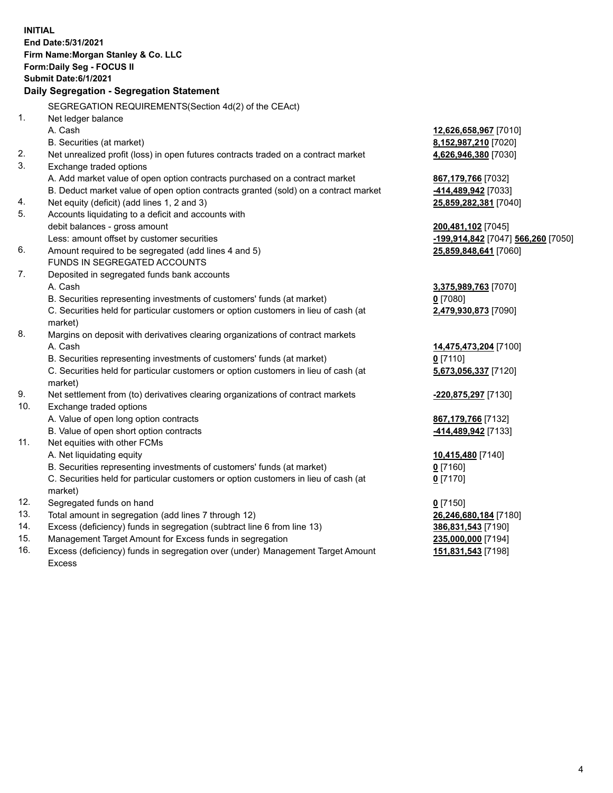|     | <b>INITIAL</b><br>End Date: 5/31/2021<br>Firm Name: Morgan Stanley & Co. LLC<br>Form: Daily Seg - FOCUS II<br><b>Submit Date:6/1/2021</b> |                                    |
|-----|-------------------------------------------------------------------------------------------------------------------------------------------|------------------------------------|
|     | Daily Segregation - Segregation Statement                                                                                                 |                                    |
|     | SEGREGATION REQUIREMENTS(Section 4d(2) of the CEAct)                                                                                      |                                    |
| 1.  | Net ledger balance                                                                                                                        |                                    |
|     | A. Cash                                                                                                                                   | 12,626,658,967 [7010]              |
|     | B. Securities (at market)                                                                                                                 | 8,152,987,210 [7020]               |
| 2.  | Net unrealized profit (loss) in open futures contracts traded on a contract market                                                        | 4,626,946,380 [7030]               |
| 3.  | Exchange traded options                                                                                                                   |                                    |
|     | A. Add market value of open option contracts purchased on a contract market                                                               | 867,179,766 [7032]                 |
|     | B. Deduct market value of open option contracts granted (sold) on a contract market                                                       | -414,489,942 [7033]                |
| 4.  | Net equity (deficit) (add lines 1, 2 and 3)                                                                                               | 25,859,282,381 [7040]              |
| 5.  | Accounts liquidating to a deficit and accounts with                                                                                       |                                    |
|     | debit balances - gross amount                                                                                                             | 200,481,102 [7045]                 |
| 6.  | Less: amount offset by customer securities                                                                                                | -199,914,842 [7047] 566,260 [7050] |
|     | Amount required to be segregated (add lines 4 and 5)<br>FUNDS IN SEGREGATED ACCOUNTS                                                      | 25,859,848,641 [7060]              |
| 7.  | Deposited in segregated funds bank accounts                                                                                               |                                    |
|     | A. Cash                                                                                                                                   |                                    |
|     | B. Securities representing investments of customers' funds (at market)                                                                    | 3,375,989,763 [7070]<br>$0$ [7080] |
|     | C. Securities held for particular customers or option customers in lieu of cash (at                                                       | 2,479,930,873 [7090]               |
|     | market)                                                                                                                                   |                                    |
| 8.  | Margins on deposit with derivatives clearing organizations of contract markets                                                            |                                    |
|     | A. Cash                                                                                                                                   | 14,475,473,204 [7100]              |
|     | B. Securities representing investments of customers' funds (at market)                                                                    | $0$ [7110]                         |
|     | C. Securities held for particular customers or option customers in lieu of cash (at<br>market)                                            | 5,673,056,337 [7120]               |
| 9.  | Net settlement from (to) derivatives clearing organizations of contract markets                                                           | -220,875,297 [7130]                |
| 10. | Exchange traded options                                                                                                                   |                                    |
|     | A. Value of open long option contracts                                                                                                    | 867, 179, 766 [7132]               |
|     | B. Value of open short option contracts                                                                                                   | -414,489,942 [7133]                |
| 11. | Net equities with other FCMs                                                                                                              |                                    |
|     | A. Net liquidating equity                                                                                                                 | 10,415,480 [7140]                  |
|     | B. Securities representing investments of customers' funds (at market)                                                                    | 0 [7160]                           |
|     | C. Securities held for particular customers or option customers in lieu of cash (at                                                       | $0$ [7170]                         |
|     | market)                                                                                                                                   |                                    |
| 12. | Segregated funds on hand                                                                                                                  | $0$ [7150]                         |
| 13. | Total amount in segregation (add lines 7 through 12)                                                                                      | 26,246,680,184 [7180]              |
| 14. | Excess (deficiency) funds in segregation (subtract line 6 from line 13)                                                                   | 386,831,543 [7190]                 |
| 15. | Management Target Amount for Excess funds in segregation                                                                                  | 235,000,000 [7194]                 |

16. Excess (deficiency) funds in segregation over (under) Management Target Amount Excess

**151,831,543** [7198]